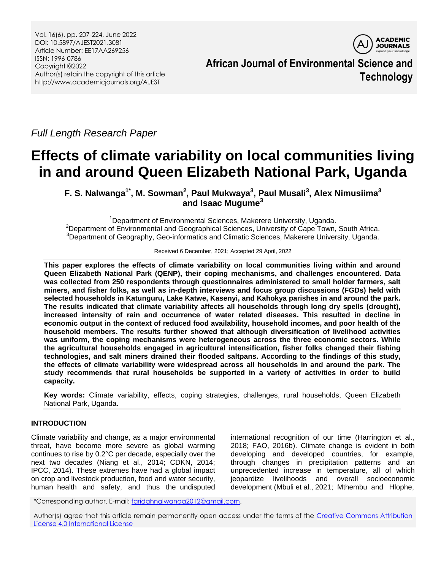Vol. 16(6), pp. 207-224, June 2022 DOI: 10.5897/AJEST2021.3081 Article Number: EE17AA269256 ISSN: 1996-0786 Copyright ©2022 Author(s) retain the copyright of this article http://www.academicjournals.org/AJEST



**African Journal of Environmental Science and Technology**

*Full Length Research Paper*

# **Effects of climate variability on local communities living in and around Queen Elizabeth National Park, Uganda**

**F. S. Nalwanga1\* , M. Sowman<sup>2</sup> , Paul Mukwaya<sup>3</sup> , Paul Musali<sup>3</sup> , Alex Nimusiima<sup>3</sup> and Isaac Mugume<sup>3</sup>**

<sup>1</sup>Department of Environmental Sciences, Makerere University, Uganda. <sup>2</sup>Department of Environmental and Geographical Sciences, University of Cape Town, South Africa. <sup>3</sup>Department of Geography, Geo-informatics and Climatic Sciences, Makerere University, Uganda.

Received 6 December, 2021; Accepted 29 April, 2022

**This paper explores the effects of climate variability on local communities living within and around Queen Elizabeth National Park (QENP), their coping mechanisms, and challenges encountered. Data was collected from 250 respondents through questionnaires administered to small holder farmers, salt miners, and fisher folks, as well as in-depth interviews and focus group discussions (FGDs) held with selected households in Katunguru, Lake Katwe, Kasenyi, and Kahokya parishes in and around the park. The results indicated that climate variability affects all households through long dry spells (drought), increased intensity of rain and occurrence of water related diseases. This resulted in decline in economic output in the context of reduced food availability, household incomes, and poor health of the household members. The results further showed that although diversification of livelihood activities was uniform, the coping mechanisms were heterogeneous across the three economic sectors. While the agricultural households engaged in agricultural intensification, fisher folks changed their fishing technologies, and salt miners drained their flooded saltpans. According to the findings of this study, the effects of climate variability were widespread across all households in and around the park. The study recommends that rural households be supported in a variety of activities in order to build capacity.**

**Key words:** Climate variability, effects, coping strategies, challenges, rural households, Queen Elizabeth National Park, Uganda.

# **INTRODUCTION**

Climate variability and change, as a major environmental threat, have become more severe as global warming continues to rise by 0.2°C per decade, especially over the next two decades (Niang et al., 2014; CDKN, 2014; IPCC, 2014). These extremes have had a global impact on crop and livestock production, food and water security, human health and safety, and thus the undisputed

international recognition of our time (Harrington et al., 2018; FAO, 2016b). Climate change is evident in both developing and developed countries, for example, through changes in precipitation patterns and an unprecedented increase in temperature, all of which jeopardize livelihoods and overall socioeconomic development (Mbuli et al., 2021; Mthembu and Hlophe,

\*Corresponding author. E-mail[: faridahnalwanga2012@gmail.com.](mailto:faridahnalwanga2012@gmail.com)

Author(s) agree that this article remain permanently open access under the terms of the [Creative Commons Attribution](http://creativecommons.org/licenses/by/4.0/deed.en_US)  [License 4.0 International License](http://creativecommons.org/licenses/by/4.0/deed.en_US)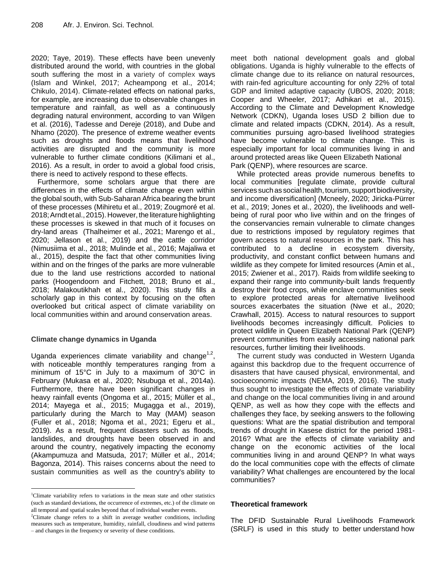2020; Taye, 2019). These effects have been unevenly distributed around the world, with countries in the global south suffering the most in a variety of complex ways (Islam and Winkel, 2017; Acheampong et al., 2014; Chikulo, 2014). Climate-related effects on national parks, for example, are increasing due to observable changes in temperature and rainfall, as well as a continuously degrading natural environment, according to van Wilgen et al. (2016), Tadesse and Dereje (2018), and Dube and Nhamo (2020). The presence of extreme weather events such as droughts and floods means that livelihood activities are disrupted and the community is more vulnerable to further climate conditions (Kilimani et al., 2016). As a result, in order to avoid a global food crisis, there is need to actively respond to these effects.

Furthermore, some scholars argue that there are differences in the effects of climate change even within the global south, with Sub-Saharan Africa bearing the brunt of these processes (Mihiretu et al., 2019; Zougmoré et al. 2018;Arndtetal.,2015).However,theliteraturehighlighting these processes is skewed in that much of it focuses on dry-land areas (Thalheimer et al., 2021; Marengo et al., 2020; Jellason et al., 2019) and the cattle corridor (Nimusiima et al., 2018; Mulinde et al., 2016; Majaliwa et al., 2015), despite the fact that other communities living within and on the fringes of the parks are more vulnerable due to the land use restrictions accorded to national parks (Hoogendoorn and Fitchett, 2018; Bruno et al., 2018; Malakoutikhah et al., 2020). This study fills a scholarly gap in this context by focusing on the often overlooked but critical aspect of climate variability on local communities within and around conservation areas.

# **Climate change dynamics in Uganda**

 $\overline{a}$ 

Uganda experiences climate variability and change $1.2$ , with noticeable monthly temperatures ranging from a minimum of 15°C in July to a maximum of 30°C in February (Mukasa et al., 2020; Nsubuga et al., 2014a). Furthermore, there have been significant changes in heavy rainfall events (Ongoma et al., 2015; Müller et al., 2014; Mayega et al., 2015; Mugagga et al., 2019), particularly during the March to May (MAM) season (Fuller et al., 2018; Ngoma et al., 2021; Egeru et al., 2019). As a result, frequent disasters such as floods, landslides, and droughts have been observed in and around the country, negatively impacting the economy (Akampumuza and Matsuda, 2017; Müller et al., 2014; Bagonza, 2014). This raises concerns about the need to sustain communities as well as the country's ability to

<sup>1</sup>Climate variability refers to variations in the mean state and other statistics (such as standard deviations, the occurrence of extremes, etc.) of the climate on all temporal and spatial scales beyond that of individual weather events.

<sup>2</sup>Climate change refers to a shift in average weather conditions, including measures such as temperature, humidity, rainfall, cloudiness and wind patterns – and changes in the frequency or severity of these conditions.

meet both national development goals and global obligations. Uganda is highly vulnerable to the effects of climate change due to its reliance on natural resources, with rain-fed agriculture accounting for only 22% of total GDP and limited adaptive capacity (UBOS, 2020; 2018; Cooper and Wheeler, 2017; Adhikari et al., 2015). According to the Climate and Development Knowledge Network (CDKN), Uganda loses USD 2 billion due to climate and related impacts (CDKN, 2014). As a result, communities pursuing agro-based livelihood strategies have become vulnerable to climate change. This is especially important for local communities living in and around protected areas like Queen Elizabeth National Park (QENP), where resources are scarce.

While protected areas provide numerous benefits to local communities [regulate climate, provide cultural services such as social health, tourism, support biodiversity, and income diversification] (Mcneely, 2020; Jiricka-Pürrer et al., 2019; Jones et al., 2020), the livelihoods and wellbeing of rural poor who live within and on the fringes of the conservancies remain vulnerable to climate changes due to restrictions imposed by regulatory regimes that govern access to natural resources in the park. This has contributed to a decline in ecosystem diversity, productivity, and constant conflict between humans and wildlife as they compete for limited resources (Amin et al., 2015; Zwiener et al., 2017). Raids from wildlife seeking to expand their range into community-built lands frequently destroy their food crops, while enclave communities seek to explore protected areas for alternative livelihood sources exacerbates the situation (Nwe et al., 2020; Crawhall, 2015). Access to natural resources to support livelihoods becomes increasingly difficult. Policies to protect wildlife in Queen Elizabeth National Park (QENP) prevent communities from easily accessing national park resources, further limiting their livelihoods.

The current study was conducted in Western Uganda against this backdrop due to the frequent occurrence of disasters that have caused physical, environmental, and socioeconomic impacts (NEMA, 2019, 2016). The study thus sought to investigate the effects of climate variability and change on the local communities living in and around QENP, as well as how they cope with the effects and challenges they face, by seeking answers to the following questions: What are the spatial distribution and temporal trends of drought in Kasese district for the period 1981- 2016? What are the effects of climate variability and change on the economic activities of the local communities living in and around QENP? In what ways do the local communities cope with the effects of climate variability? What challenges are encountered by the local communities?

# **Theoretical framework**

The DFID Sustainable Rural Livelihoods Framework (SRLF) is used in this study to better understand how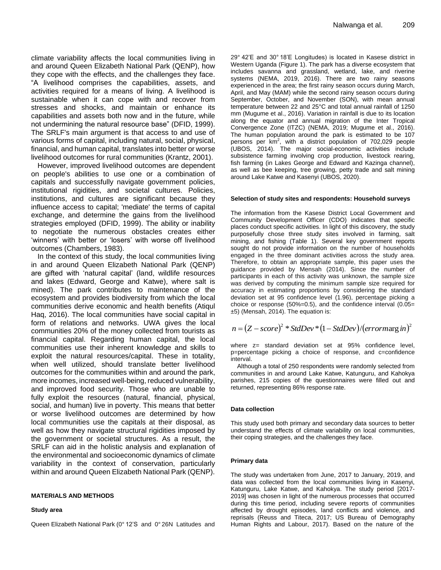climate variability affects the local communities living in and around Queen Elizabeth National Park (QENP), how they cope with the effects, and the challenges they face. "A livelihood comprises the capabilities, assets, and activities required for a means of living. A livelihood is sustainable when it can cope with and recover from stresses and shocks, and maintain or enhance its capabilities and assets both now and in the future, while not undermining the natural resource base" (DFID, 1999). The SRLF's main argument is that access to and use of various forms of capital, including natural, social, physical, financial, and human capital, translates into better or worse livelihood outcomes for rural communities (Krantz, 2001).

However, improved livelihood outcomes are dependent on people's abilities to use one or a combination of capitals and successfully navigate government policies, institutional rigidities, and societal cultures. Policies, institutions, and cultures are significant because they influence access to capital; 'mediate' the terms of capital exchange, and determine the gains from the livelihood strategies employed (DFID, 1999). The ability or inability to negotiate the numerous obstacles creates either 'winners' with better or 'losers' with worse off livelihood outcomes (Chambers, 1983).

In the context of this study, the local communities living in and around Queen Elizabeth National Park (QENP) are gifted with "natural capital" (land, wildlife resources and lakes (Edward, George and Katwe), where salt is mined). The park contributes to maintenance of the ecosystem and provides biodiversity from which the local communities derive economic and health benefits (Atiqul Haq, 2016). The local communities have social capital in form of relations and networks. UWA gives the local communities 20% of the money collected from tourists as financial capital. Regarding human capital, the local communities use their inherent knowledge and skills to exploit the natural resources/capital. These in totality, when well utilized, should translate better livelihood outcomes for the communities within and around the park, more incomes, increased well-being, reduced vulnerability, and improved food security. Those who are unable to fully exploit the resources (natural, financial, physical, social, and human) live in poverty. This means that better or worse livelihood outcomes are determined by how local communities use the capitals at their disposal, as well as how they navigate structural rigidities imposed by the government or societal structures. As a result, the SRLF can aid in the holistic analysis and explanation of the environmental and socioeconomic dynamics of climate variability in the context of conservation, particularly within and around Queen Elizabeth National Park (QENP).

#### **MATERIALS AND METHODS**

#### **Study area**

Queen Elizabeth National Park (0° 12"S and 0° 26N Latitudes and

29° 42"E and 30° 18"E Longitudes) is located in Kasese district in Western Uganda (Figure 1). The park has a diverse ecosystem that includes savanna and grassland, wetland, lake, and riverine systems (NEMA, 2019, 2016). There are two rainy seasons experienced in the area; the first rainy season occurs during March, April, and May (MAM) while the second rainy season occurs during September, October, and November (SON), with mean annual temperature between 22 and 25°C and total annual rainfall of 1250 mm (Mugume et al., 2016). Variation in rainfall is due to its location along the equator and annual migration of the Inter Tropical Convergence Zone (ITZC) (NEMA, 2019; Mugume et al., 2016). The human population around the park is estimated to be 107 persons per  $km^2$ , with a district population of 702,029 people (UBOS, 2014). The major social-economic activities include subsistence farming involving crop production, livestock rearing, fish farming (in Lakes George and Edward and Kazinga channel), as well as bee keeping, tree growing, petty trade and salt mining around Lake Katwe and Kasenyi (UBOS, 2020).

#### **Selection of study sites and respondents: Household surveys**

The information from the Kasese District Local Government and Community Development Officer (CDO) indicates that specific places conduct specific activities. In light of this discovery, the study purposefully chose three study sites involved in farming, salt mining, and fishing (Table 1). Several key government reports sought do not provide information on the number of households engaged in the three dominant activities across the study area. Therefore, to obtain an appropriate sample, this paper uses the guidance provided by Mensah (2014). Since the number of participants in each of this activity was unknown, the sample size was derived by computing the minimum sample size required for accuracy in estimating proportions by considering the standard deviation set at 95 confidence level (1.96), percentage picking a choice or response (50%=0.5), and the confidence interval (0.05= ±5) (Mensah, 2014). The equation is:

$$
n = (Z - score)^{2} * StdDev * (1 - StdDev) / (errormag in)^{2}
$$

where z= standard deviation set at 95% confidence level, p=percentage picking a choice of response, and c=confidence interval.

Although a total of 250 respondents were randomly selected from communities in and around Lake Katwe, Katunguru, and Kahokya parishes, 215 copies of the questionnaires were filled out and returned, representing 86% response rate.

#### **Data collection**

This study used both primary and secondary data sources to better understand the effects of climate variability on local communities, their coping strategies, and the challenges they face.

#### **Primary data**

The study was undertaken from June, 2017 to January, 2019, and data was collected from the local communities living in Kasenyi, Katunguru, Lake Katwe, and Kahokya. The study period [2017- 2019] was chosen in light of the numerous processes that occurred during this time period, including severe reports of communities affected by drought episodes, land conflicts and violence, and reprisals (Reuss and Titeca, 2017; US Bureau of Demography Human Rights and Labour, 2017). Based on the nature of the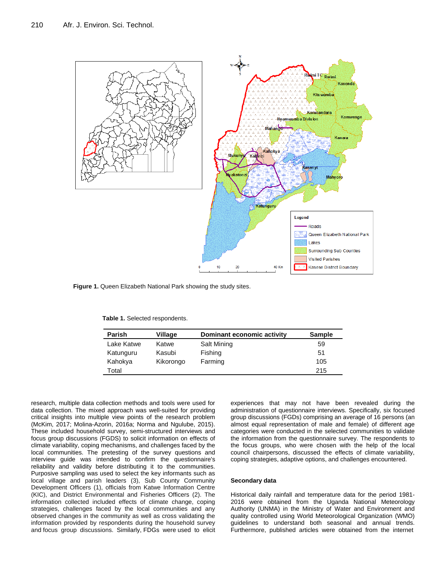

**Figure 1.** Queen Elizabeth National Park showing the study sites.

|  |  |  | Table 1. Selected respondents. |
|--|--|--|--------------------------------|
|--|--|--|--------------------------------|

| Parish     | Village   | Dominant economic activity | <b>Sample</b> |
|------------|-----------|----------------------------|---------------|
| Lake Katwe | Katwe     | Salt Mining                | 59            |
| Katunguru  | Kasubi    | Fishing                    | 51            |
| Kahokya    | Kikorongo | Farming                    | 105           |
| Total      |           |                            | 215           |

research, multiple data collection methods and tools were used for data collection. The mixed approach was well-suited for providing critical insights into multiple view points of the research problem (McKim, 2017; Molina-Azorin, 2016a; Norma and Ngulube, 2015). These included household survey, semi-structured interviews and focus group discussions (FGDS) to solicit information on effects of climate variability, coping mechanisms, and challenges faced by the local communities. The pretesting of the survey questions and interview guide was intended to confirm the questionnaire's reliability and validity before distributing it to the communities. Purposive sampling was used to select the key informants such as local village and parish leaders (3), Sub County Community Development Officers (1), officials from Katwe Information Centre (KIC), and District Environmental and Fisheries Officers (2). The information collected included effects of climate change, coping strategies, challenges faced by the local communities and any observed changes in the community as well as cross validating the information provided by respondents during the household survey and focus group discussions. Similarly, FDGs were used to elicit

experiences that may not have been revealed during the administration of questionnaire interviews. Specifically, six focused group discussions (FGDs) comprising an average of 16 persons (an almost equal representation of male and female) of different age categories were conducted in the selected communities to validate the information from the questionnaire survey. The respondents to the focus groups, who were chosen with the help of the local council chairpersons, discussed the effects of climate variability, coping strategies, adaptive options, and challenges encountered.

#### **Secondary data**

Historical daily rainfall and temperature data for the period 1981- 2016 were obtained from the Uganda National Meteorology Authority (UNMA) in the Ministry of Water and Environment and quality controlled using World Meteorological Organization (WMO) guidelines to understand both seasonal and annual trends. Furthermore, published articles were obtained from the internet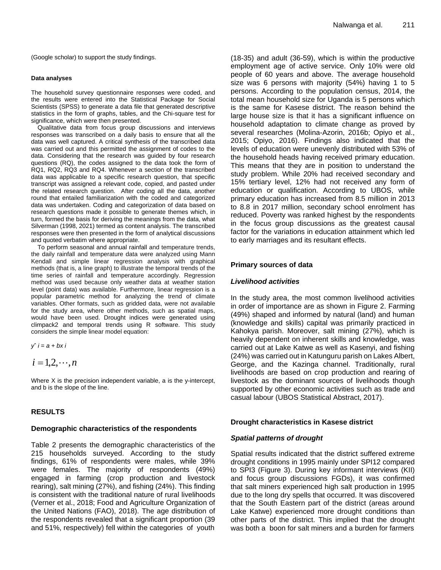(Google scholar) to support the study findings.

#### **Data analyses**

The household survey questionnaire responses were coded, and the results were entered into the Statistical Package for Social Scientists (SPSS) to generate a data file that generated descriptive statistics in the form of graphs, tables, and the Chi-square test for significance, which were then presented.

Qualitative data from focus group discussions and interviews responses was transcribed on a daily basis to ensure that all the data was well captured. A critical synthesis of the transcribed data was carried out and this permitted the assignment of codes to the data. Considering that the research was guided by four research questions (RQ), the codes assigned to the data took the form of RQ1, RQ2, RQ3 and RQ4. Whenever a section of the transcribed data was applicable to a specific research question, that specific transcript was assigned a relevant code, copied, and pasted under the related research question. After coding all the data, another round that entailed familiarization with the coded and categorized data was undertaken. Coding and categorization of data based on research questions made it possible to generate themes which, in turn, formed the basis for deriving the meanings from the data, what Silverman (1998, 2021) termed as content analysis. The transcribed responses were then presented in the form of analytical discussions and quoted verbatim where appropriate.

To perform seasonal and annual rainfall and temperature trends, the daily rainfall and temperature data were analyzed using Mann Kendall and simple linear regression analysis with graphical methods (that is, a line graph) to illustrate the temporal trends of the time series of rainfall and temperature accordingly. Regression method was used because only weather data at weather station level (point data) was available. Furthermore, linear regression is a popular parametric method for analyzing the trend of climate variables. Other formats, such as gridded data, were not available for the study area, where other methods, such as spatial maps, would have been used. Drought indices were generated using climpack2 and temporal trends using R software. This study considers the simple linear model equation:

*y*ˆ *i* = *a* + *bx i*

 $i = 1, 2, \cdots, n$ 

Where X is the precision independent variable, a is the y-intercept, and b is the slope of the line.

## **RESULTS**

#### **Demographic characteristics of the respondents**

Table 2 presents the demographic characteristics of the 215 households surveyed. According to the study findings, 61% of respondents were males, while 39% were females. The majority of respondents (49%) engaged in farming (crop production and livestock rearing), salt mining (27%), and fishing (24%). This finding is consistent with the traditional nature of rural livelihoods (Verner et al., 2018; Food and Agriculture Organization of the United Nations (FAO), 2018). The age distribution of the respondents revealed that a significant proportion (39 and 51%, respectively) fell within the categories of youth (18-35) and adult (36-59), which is within the productive employment age of active service. Only 10% were old people of 60 years and above. The average household size was 6 persons with majority (54%) having 1 to 5 persons. According to the population census, 2014, the total mean household size for Uganda is 5 persons which is the same for Kasese district. The reason behind the large house size is that it has a significant influence on household adaptation to climate change as proved by several researches (Molina-Azorin, 2016b; Opiyo et al., 2015; Opiyo, 2016). Findings also indicated that the levels of education were unevenly distributed with 53% of the household heads having received primary education. This means that they are in position to understand the study problem. While 20% had received secondary and 15% tertiary level, 12% had not received any form of education or qualification. According to UBOS, while primary education has increased from 8.5 million in 2013 to 8.8 in 2017 million, secondary school enrolment has reduced. Poverty was ranked highest by the respondents in the focus group discussions as the greatest causal factor for the variations in education attainment which led to early marriages and its resultant effects.

## **Primary sources of data**

## *Livelihood activities*

In the study area, the most common livelihood activities in order of importance are as shown in Figure 2. Farming (49%) shaped and informed by natural (land) and human (knowledge and skills) capital was primarily practiced in Kahokya parish. Moreover, salt mining (27%), which is heavily dependent on inherent skills and knowledge, was carried out at Lake Katwe as well as Kasenyi, and fishing (24%) was carried out in Katunguru parish on Lakes Albert, George, and the Kazinga channel. Traditionally, rural livelihoods are based on crop production and rearing of livestock as the dominant sources of livelihoods though supported by other economic activities such as trade and casual labour (UBOS Statistical Abstract, 2017).

#### **Drought characteristics in Kasese district**

#### *Spatial patterns of drought*

Spatial results indicated that the district suffered extreme drought conditions in 1995 mainly under SPI12 compared to SPI3 (Figure 3). During key informant interviews (KII) and focus group discussions FGDs), it was confirmed that salt miners experienced high salt production in 1995 due to the long dry spells that occurred. It was discovered that the South Eastern part of the district (areas around Lake Katwe) experienced more drought conditions than other parts of the district. This implied that the drought was both a boon for salt miners and a burden for farmers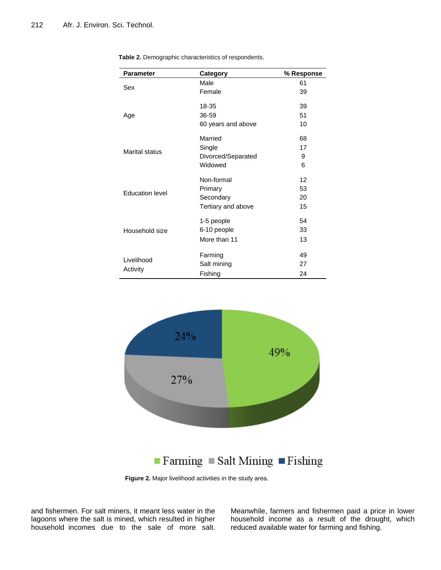| <b>Parameter</b>       | Category           | % Response |
|------------------------|--------------------|------------|
| Sex                    | Male               | 61         |
|                        | Female             | 39         |
|                        | 18-35              | 39         |
| Age                    | 36-59              | 51         |
|                        | 60 years and above | 10         |
|                        | Married            | 68         |
| <b>Marital status</b>  | Single             | 17         |
|                        | Divorced/Separated | 9          |
|                        | Widowed            | 6          |
|                        | Non-formal         | 12         |
| <b>Education level</b> | Primary            | 53         |
|                        | Secondary          | 20         |
|                        | Tertiary and above | 15         |
|                        | 1-5 people         | 54         |
| Household size         | 6-10 people        | 33         |
|                        | More than 11       | 13         |
|                        | Farming            | 49         |
| Livelihood             | Salt mining        | 27         |
| Activity               | Fishing            | 24         |

**Table 2.** Demographic characteristics of respondents.



**Figure 2.** Major livelihood activities in the study area.

and fishermen. For salt miners, it meant less water in the lagoons where the salt is mined, which resulted in higher household incomes due to the sale of more salt. Meanwhile, farmers and fishermen paid a price in lower household income as a result of the drought, which reduced available water for farming and fishing.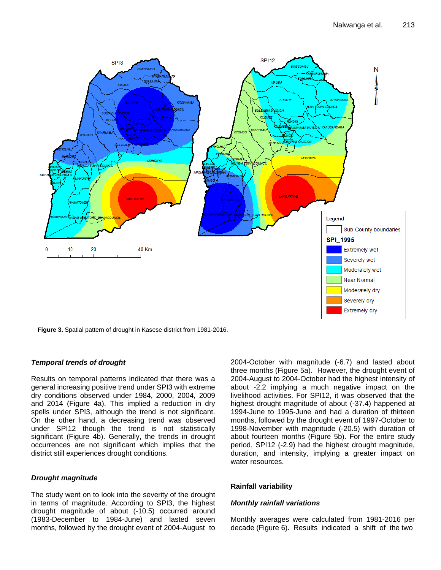

**Figure 3.** Spatial pattern of drought in Kasese district from 1981-2016.

# *Temporal trends of drought*

Results on temporal patterns indicated that there was a general increasing positive trend under SPI3 with extreme dry conditions observed under 1984, 2000, 2004, 2009 and 2014 (Figure 4a). This implied a reduction in dry spells under SPI3, although the trend is not significant. On the other hand, a decreasing trend was observed under SPI12 though the trend is not statistically significant (Figure 4b). Generally, the trends in drought occurrences are not significant which implies that the district still experiences drought conditions.

## *Drought magnitude*

The study went on to look into the severity of the drought in terms of magnitude. According to SPI3, the highest drought magnitude of about (-10.5) occurred around (1983-December to 1984-June) and lasted seven months, followed by the drought event of 2004-August to

2004-October with magnitude (-6.7) and lasted about three months (Figure 5a). However, the drought event of 2004-August to 2004-October had the highest intensity of about -2.2 implying a much negative impact on the livelihood activities. For SPI12, it was observed that the highest drought magnitude of about (-37.4) happened at 1994-June to 1995-June and had a duration of thirteen months, followed by the drought event of 1997-October to 1998-November with magnitude (-20.5) with duration of about fourteen months (Figure 5b). For the entire study period, SPI12 (-2.9) had the highest drought magnitude, duration, and intensity, implying a greater impact on water resources.

## **Rainfall variability**

## *Monthly rainfall variations*

Monthly averages were calculated from 1981-2016 per decade (Figure 6). Results indicated a shift of the two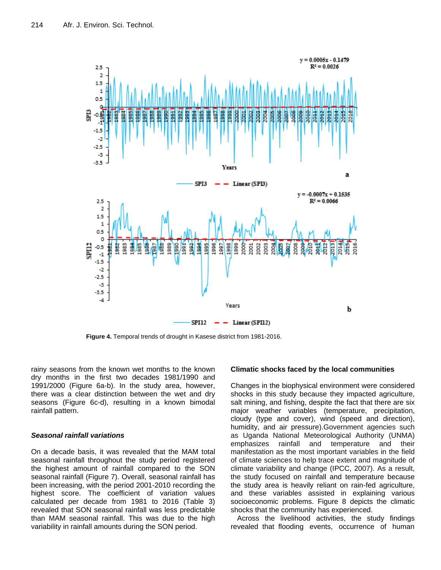

**Figure 4.** Temporal trends of drought in Kasese district from 1981-2016.

rainy seasons from the known wet months to the known dry months in the first two decades 1981/1990 and 1991/2000 (Figure 6a-b). In the study area, however, there was a clear distinction between the wet and dry seasons (Figure 6c-d), resulting in a known bimodal rainfall pattern.

# *Seasonal rainfall variations*

On a decade basis, it was revealed that the MAM total seasonal rainfall throughout the study period registered the highest amount of rainfall compared to the SON seasonal rainfall (Figure 7). Overall, seasonal rainfall has been increasing, with the period 2001-2010 recording the highest score. The coefficient of variation values calculated per decade from 1981 to 2016 (Table 3) revealed that SON seasonal rainfall was less predictable than MAM seasonal rainfall. This was due to the high variability in rainfall amounts during the SON period.

## **Climatic shocks faced by the local communities**

Changes in the biophysical environment were considered shocks in this study because they impacted agriculture, salt mining, and fishing, despite the fact that there are six major weather variables (temperature, precipitation, cloudy (type and cover), wind (speed and direction), humidity, and air pressure).Government agencies such as Uganda National Meteorological Authority (UNMA) emphasizes rainfall and temperature and their manifestation as the most important variables in the field of climate sciences to help trace extent and magnitude of climate variability and change (IPCC, 2007). As a result, the study focused on rainfall and temperature because the study area is heavily reliant on rain-fed agriculture, and these variables assisted in explaining various socioeconomic problems. Figure 8 depicts the climatic shocks that the community has experienced.

Across the livelihood activities, the study findings revealed that flooding events, occurrence of human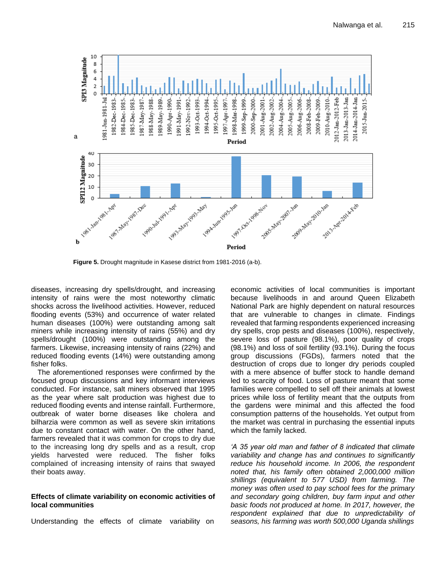

**Figure 5.** Drought magnitude in Kasese district from 1981-2016 (a-b).

diseases, increasing dry spells/drought, and increasing intensity of rains were the most noteworthy climatic shocks across the livelihood activities. However, reduced flooding events (53%) and occurrence of water related human diseases (100%) were outstanding among salt miners while increasing intensity of rains (55%) and dry spells/drought (100%) were outstanding among the farmers. Likewise, increasing intensity of rains (22%) and reduced flooding events (14%) were outstanding among fisher folks.

The aforementioned responses were confirmed by the focused group discussions and key informant interviews conducted. For instance, salt miners observed that 1995 as the year where salt production was highest due to reduced flooding events and intense rainfall. Furthermore, outbreak of water borne diseases like cholera and bilharzia were common as well as severe skin irritations due to constant contact with water. On the other hand, farmers revealed that it was common for crops to dry due to the increasing long dry spells and as a result, crop yields harvested were reduced. The fisher folks complained of increasing intensity of rains that swayed their boats away.

## **Effects of climate variability on economic activities of local communities**

Understanding the effects of climate variability on

economic activities of local communities is important because livelihoods in and around Queen Elizabeth National Park are highly dependent on natural resources that are vulnerable to changes in climate. Findings revealed that farming respondents experienced increasing dry spells, crop pests and diseases (100%), respectively, severe loss of pasture (98.1%), poor quality of crops (98.1%) and loss of soil fertility (93.1%). During the focus group discussions (FGDs), farmers noted that the destruction of crops due to longer dry periods coupled with a mere absence of buffer stock to handle demand led to scarcity of food. Loss of pasture meant that some families were compelled to sell off their animals at lowest prices while loss of fertility meant that the outputs from the gardens were minimal and this affected the food consumption patterns of the households. Yet output from the market was central in purchasing the essential inputs which the family lacked.

*"A 35 year old man and father of 8 indicated that climate variability and change has and continues to significantly reduce his household income. In 2006, the respondent noted that, his family often obtained 2,000,000 million shillings (equivalent to 577 USD) from farming. The money was often used to pay school fees for the primary and secondary going children, buy farm input and other basic foods not produced at home. In 2017, however, the respondent explained that due to unpredictability of seasons, his farming was worth 500,000 Uganda shillings*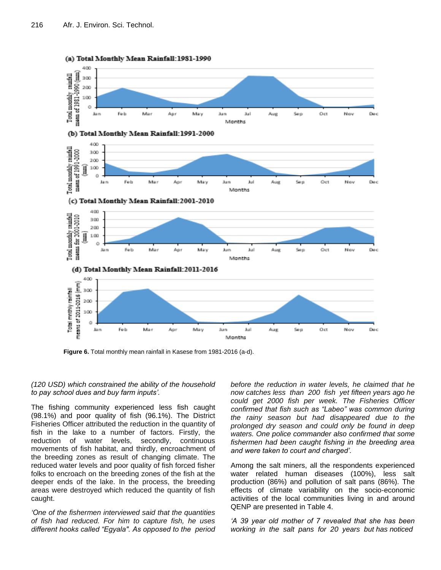

(a) Total Monthly Mean Rainfall: 1981-1990

**Figure 6.** Total monthly mean rainfall in Kasese from 1981-2016 (a-d).

## *(120 USD) which constrained the ability of the household to pay school dues and buy farm inputs".*

The fishing community experienced less fish caught (98.1%) and poor quality of fish (96.1%). The District Fisheries Officer attributed the reduction in the quantity of fish in the lake to a number of factors. Firstly, the reduction of water levels, secondly, continuous movements of fish habitat, and thirdly, encroachment of the breeding zones as result of changing climate. The reduced water levels and poor quality of fish forced fisher folks to encroach on the breeding zones of the fish at the deeper ends of the lake. In the process, the breeding areas were destroyed which reduced the quantity of fish caught.

*"One of the fishermen interviewed said that the quantities of fish had reduced. For him to capture fish, he uses different hooks called "Egyala". As opposed to the period*  *before the reduction in water levels, he claimed that he now catches less than 200 fish yet fifteen years ago he could get 2000 fish per week. The Fisheries Officer confirmed that fish such as "Labeo" was common during the rainy season but had disappeared due to the prolonged dry season and could only be found in deep waters. One police commander also confirmed that some fishermen had been caught fishing in the breeding area and were taken to court and charged".*

Among the salt miners, all the respondents experienced water related human diseases (100%), less salt production (86%) and pollution of salt pans (86%). The effects of climate variability on the socio-economic activities of the local communities living in and around QENP are presented in Table 4.

*"A 39 year old mother of 7 revealed that she has been working in the salt pans for 20 years but has noticed*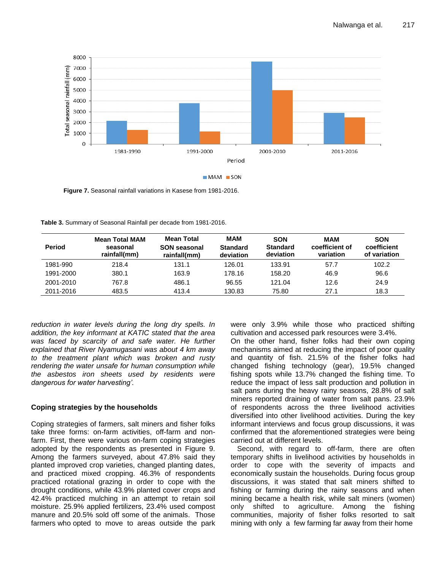

**Figure 7.** Seasonal rainfall variations in Kasese from 1981-2016.

**Table 3.** Summary of Seasonal Rainfall per decade from 1981-2016.

| <b>Period</b> | <b>Mean Total MAM</b><br>seasonal<br>rainfall(mm) | Mean Total<br><b>SON seasonal</b><br>rainfall(mm) | <b>MAM</b><br><b>Standard</b><br>deviation | <b>SON</b><br><b>Standard</b><br>deviation | MAM<br>coefficient of<br>variation | <b>SON</b><br>coefficient<br>of variation |
|---------------|---------------------------------------------------|---------------------------------------------------|--------------------------------------------|--------------------------------------------|------------------------------------|-------------------------------------------|
| 1981-990      | 218.4                                             | 131.1                                             | 126.01                                     | 133.91                                     | 57.7                               | 102.2                                     |
| 1991-2000     | 380.1                                             | 163.9                                             | 178.16                                     | 158.20                                     | 46.9                               | 96.6                                      |
| 2001-2010     | 767.8                                             | 486.1                                             | 96.55                                      | 121.04                                     | 12.6                               | 24.9                                      |
| 2011-2016     | 483.5                                             | 413.4                                             | 130.83                                     | 75.80                                      | 27.1                               | 18.3                                      |

*reduction in water levels during the long dry spells. In addition, the key informant at KATIC stated that the area was faced by scarcity of and safe water. He further explained that River Nyamugasani was about 4 km away to the treatment plant which was broken and rusty rendering the water unsafe for human consumption while the asbestos iron sheets used by residents were dangerous for water harvesting".*

# **Coping strategies by the households**

Coping strategies of farmers, salt miners and fisher folks take three forms: on-farm activities, off-farm and nonfarm. First, there were various on-farm coping strategies adopted by the respondents as presented in Figure 9. Among the farmers surveyed, about 47.8% said they planted improved crop varieties, changed planting dates, and practiced mixed cropping. 46.3% of respondents practiced rotational grazing in order to cope with the drought conditions, while 43.9% planted cover crops and 42.4% practiced mulching in an attempt to retain soil moisture. 25.9% applied fertilizers, 23.4% used compost manure and 20.5% sold off some of the animals. Those farmers who opted to move to areas outside the park

were only 3.9% while those who practiced shifting cultivation and accessed park resources were 3.4%.

On the other hand, fisher folks had their own coping mechanisms aimed at reducing the impact of poor quality and quantity of fish. 21.5% of the fisher folks had changed fishing technology (gear), 19.5% changed fishing spots while 13.7% changed the fishing time. To reduce the impact of less salt production and pollution in salt pans during the heavy rainy seasons, 28.8% of salt miners reported draining of water from salt pans. 23.9% of respondents across the three livelihood activities diversified into other livelihood activities. During the key informant interviews and focus group discussions, it was confirmed that the aforementioned strategies were being carried out at different levels.

Second, with regard to off-farm, there are often temporary shifts in livelihood activities by households in order to cope with the severity of impacts and economically sustain the households. During focus group discussions, it was stated that salt miners shifted to fishing or farming during the rainy seasons and when mining became a health risk, while salt miners (women) only shifted to agriculture. Among the fishing communities, majority of fisher folks resorted to salt mining with only a few farming far away from their home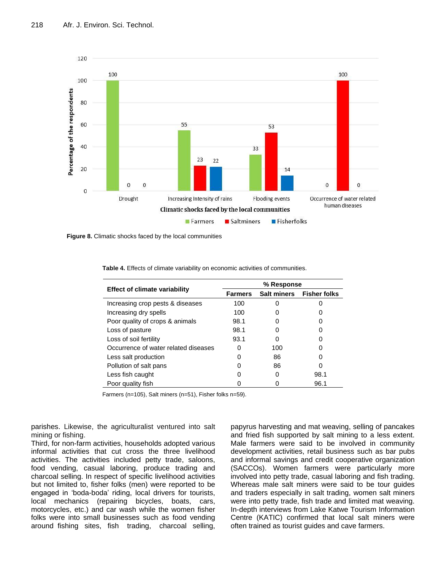

**Figure 8.** Climatic shocks faced by the local communities

|                                      | % Response     |                    |                     |  |
|--------------------------------------|----------------|--------------------|---------------------|--|
| <b>Effect of climate variability</b> | <b>Farmers</b> | <b>Salt miners</b> | <b>Fisher folks</b> |  |
| Increasing crop pests & diseases     | 100            |                    |                     |  |
| Increasing dry spells                | 100            |                    |                     |  |
| Poor quality of crops & animals      | 98.1           |                    |                     |  |
| Loss of pasture                      | 98.1           |                    |                     |  |
| Loss of soil fertility               | 93.1           |                    |                     |  |
| Occurrence of water related diseases | O              | 100                |                     |  |
| Less salt production                 |                | 86                 |                     |  |
| Pollution of salt pans               |                | 86                 |                     |  |
| Less fish caught                     |                |                    | 98.1                |  |
| Poor quality fish                    |                |                    | 96.1                |  |

**Table 4.** Effects of climate variability on economic activities of communities.

Farmers (n=105), Salt miners (n=51), Fisher folks n=59).

parishes. Likewise, the agriculturalist ventured into salt mining or fishing.

Third, for non-farm activities, households adopted various informal activities that cut cross the three livelihood activities. The activities included petty trade, saloons, food vending, casual laboring, produce trading and charcoal selling. In respect of specific livelihood activities but not limited to, fisher folks (men) were reported to be engaged in "boda-boda" riding, local drivers for tourists, local mechanics (repairing bicycles, boats, cars, motorcycles, etc.) and car wash while the women fisher folks were into small businesses such as food vending around fishing sites, fish trading, charcoal selling, papyrus harvesting and mat weaving, selling of pancakes and fried fish supported by salt mining to a less extent. Male farmers were said to be involved in community development activities, retail business such as bar pubs and informal savings and credit cooperative organization (SACCOs). Women farmers were particularly more involved into petty trade, casual laboring and fish trading. Whereas male salt miners were said to be tour guides and traders especially in salt trading, women salt miners were into petty trade, fish trade and limited mat weaving. In-depth interviews from Lake Katwe Tourism Information Centre (KATIC) confirmed that local salt miners were often trained as tourist guides and cave farmers.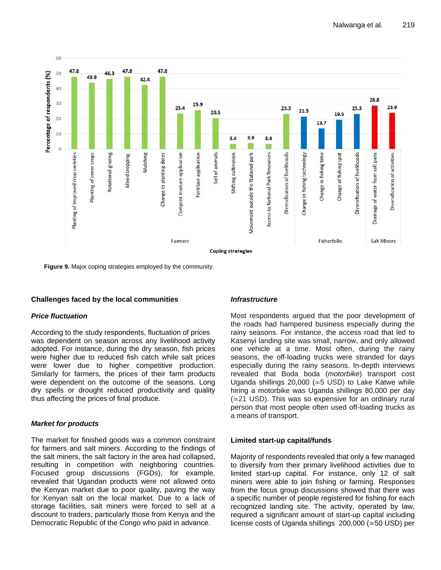

**Figure 9.** Major coping strategies employed by the community.

## **Challenges faced by the local communities**

## *Price fluctuation*

According to the study respondents, fluctuation of prices was dependent on season across any livelihood activity adopted. For instance, during the dry season, fish prices were higher due to reduced fish catch while salt prices were lower due to higher competitive production. Similarly for farmers, the prices of their farm products were dependent on the outcome of the seasons. Long dry spells or drought reduced productivity and quality thus affecting the prices of final produce.

## *Market for products*

The market for finished goods was a common constraint for farmers and salt miners. According to the findings of the salt miners, the salt factory in the area had collapsed, resulting in competition with neighboring countries. Focused group discussions (FGDs), for example, revealed that Ugandan products were not allowed onto the Kenyan market due to poor quality, paving the way for Kenyan salt on the local market. Due to a lack of storage facilities, salt miners were forced to sell at a discount to traders, particularly those from Kenya and the Democratic Republic of the Congo who paid in advance.

#### *Infrastructure*

Most respondents argued that the poor development of the roads had hampered business especially during the rainy seasons. For instance, the access road that led to Kasenyi landing site was small, narrow, and only allowed one vehicle at a time. Most often, during the rainy seasons, the off-loading trucks were stranded for days especially during the rainy seasons. In-depth interviews revealed that Boda boda (*motorbike*) transport cost Uganda shillings 20,000 (≃5 USD) to Lake Katwe while hiring a motorbike was Uganda shillings 80,000 per day (≃21 USD). This was so expensive for an ordinary rural person that most people often used off-loading trucks as a means of transport.

## **Limited start-up capital/funds**

Majority of respondents revealed that only a few managed to diversify from their primary livelihood activities due to limited start-up capital. For instance, only 12 of salt miners were able to join fishing or farming. Responses from the focus group discussions showed that there was a specific number of people registered for fishing for each recognized landing site. The activity, operated by law, required a significant amount of start-up capital including license costs of Uganda shillings 200,000 (≃50 USD) per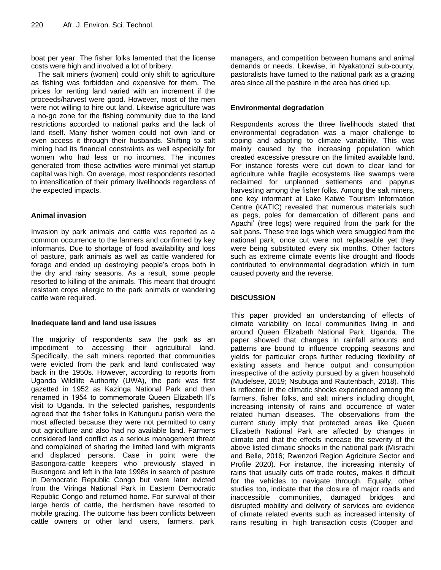boat per year. The fisher folks lamented that the license costs were high and involved a lot of bribery.

The salt miners (women) could only shift to agriculture as fishing was forbidden and expensive for them. The prices for renting land varied with an increment if the proceeds/harvest were good. However, most of the men were not willing to hire out land. Likewise agriculture was a no-go zone for the fishing community due to the land restrictions accorded to national parks and the lack of land itself. Many fisher women could not own land or even access it through their husbands. Shifting to salt mining had its financial constraints as well especially for women who had less or no incomes. The incomes generated from these activities were minimal yet startup capital was high. On average, most respondents resorted to intensification of their primary livelihoods regardless of the expected impacts.

# **Animal invasion**

Invasion by park animals and cattle was reported as a common occurrence to the farmers and confirmed by key informants. Due to shortage of food availability and loss of pasture, park animals as well as cattle wandered for forage and ended up destroying people's crops both in the dry and rainy seasons. As a result, some people resorted to killing of the animals. This meant that drought resistant crops allergic to the park animals or wandering cattle were required.

# **Inadequate land and land use issues**

The majority of respondents saw the park as an impediment to accessing their agricultural land. Specifically, the salt miners reported that communities were evicted from the park and land confiscated way back in the 1950s. However, according to reports from Uganda Wildlife Authority (UWA), the park was first gazetted in 1952 as Kazinga National Park and then renamed in 1954 to commemorate Queen Elizabeth II"s visit to Uganda. In the selected parishes, respondents agreed that the fisher folks in Katunguru parish were the most affected because they were not permitted to carry out agriculture and also had no available land. Farmers considered land conflict as a serious management threat and complained of sharing the limited land with migrants and displaced persons. Case in point were the Basongora-cattle keepers who previously stayed in Busongora and left in the late 1998s in search of pasture in Democratic Republic Congo but were later evicted from the Viringa National Park in Eastern Democratic Republic Congo and returned home. For survival of their large herds of cattle, the herdsmen have resorted to mobile grazing. The outcome has been conflicts between cattle owners or other land users, farmers, park

managers, and competition between humans and animal demands or needs. Likewise, in Nyakatonzi sub-county, pastoralists have turned to the national park as a grazing area since all the pasture in the area has dried up.

# **Environmental degradation**

Respondents across the three livelihoods stated that environmental degradation was a major challenge to coping and adapting to climate variability. This was mainly caused by the increasing population which created excessive pressure on the limited available land. For instance forests were cut down to clear land for agriculture while fragile ecosystems like swamps were reclaimed for unplanned settlements and papyrus harvesting among the fisher folks. Among the salt miners, one key informant at Lake Katwe Tourism Information Centre (KATIC) revealed that numerous materials such as pegs, poles for demarcation of different pans and Apachi" (tree logs) were required from the park for the salt pans. These tree logs which were smuggled from the national park, once cut were not replaceable yet they were being substituted every six months. Other factors such as extreme climate events like drought and floods contributed to environmental degradation which in turn caused poverty and the reverse.

# **DISCUSSION**

This paper provided an understanding of effects of climate variability on local communities living in and around Queen Elizabeth National Park, Uganda. The paper showed that changes in rainfall amounts and patterns are bound to influence cropping seasons and yields for particular crops further reducing flexibility of existing assets and hence output and consumption irrespective of the activity pursued by a given household (Mudelsee, 2019; Nsubuga and Rautenbach, 2018). This is reflected in the climatic shocks experienced among the farmers, fisher folks, and salt miners including drought, increasing intensity of rains and occurrence of water related human diseases. The observations from the current study imply that protected areas like Queen Elizabeth National Park are affected by changes in climate and that the effects increase the severity of the above listed climatic shocks in the national park (Misrachi and Belle, 2016; Rwenzori Region Agriclture Sector and Profile 2020). For instance, the increasing intensity of rains that usually cuts off trade routes, makes it difficult for the vehicles to navigate through. Equally, other studies too, indicate that the closure of major roads and inaccessible communities, damaged bridges and disrupted mobility and delivery of services are evidence of climate related events such as increased intensity of rains resulting in high transaction costs (Cooper and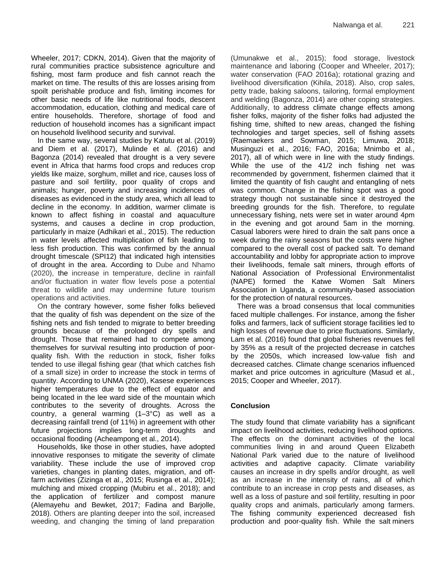Wheeler, 2017; CDKN, 2014). Given that the majority of rural communities practice subsistence agriculture and fishing, most farm produce and fish cannot reach the market on time. The results of this are losses arising from spoilt perishable produce and fish, limiting incomes for other basic needs of life like nutritional foods, descent accommodation, education, clothing and medical care of entire households. Therefore, shortage of food and reduction of household incomes has a significant impact on household livelihood security and survival.

In the same way, several studies by Katutu et al. (2019) and Diem et al. (2017), Mulinde et al. (2016) and Bagonza (2014) revealed that drought is a very severe event in Africa that harms food crops and reduces crop yields like maize, sorghum, millet and rice, causes loss of pasture and soil fertility, poor quality of crops and animals; hunger, poverty and increasing incidences of diseases as evidenced in the study area, which all lead to decline in the economy. In addition, warmer climate is known to affect fishing in coastal and aquaculture systems, and causes a decline in crop production, particularly in maize (Adhikari et al., 2015). The reduction in water levels affected multiplication of fish leading to less fish production. This was confirmed by the annual drought timescale (SPI12) that indicated high intensities of drought in the area. According to Dube and Nhamo (2020), the increase in temperature, decline in rainfall and/or fluctuation in water flow levels pose a potential threat to wildlife and may undermine future tourism operations and activities.

On the contrary however, some fisher folks believed that the quality of fish was dependent on the size of the fishing nets and fish tended to migrate to better breeding grounds because of the prolonged dry spells and drought. Those that remained had to compete among themselves for survival resulting into production of poorquality fish. With the reduction in stock, fisher folks tended to use illegal fishing gear (that which catches fish of a small size) in order to increase the stock in terms of quantity. According to UNMA (2020), Kasese experiences higher temperatures due to the effect of equator and being located in the lee ward side of the mountain which contributes to the severity of droughts. Across the country, a general warming (1–3°C) as well as a decreasing rainfall trend (of 11%) in agreement with other future projections implies long-term droughts and occasional flooding (Acheampong et al., 2014).

Households, like those in other studies, have adopted innovative responses to mitigate the severity of climate variability. These include the use of improved crop varieties, changes in planting dates, migration, and offfarm activities (Zizinga et al., 2015; Rusinga et al., 2014); mulching and mixed cropping (Mubiru et al., 2018); and the application of fertilizer and compost manure (Alemayehu and Bewket, 2017; Fadina and Barjolle, 2018). Others are planting deeper into the soil, increased weeding, and changing the timing of land preparation (Umunakwe et al., 2015); food storage, livestock maintenance and laboring (Cooper and Wheeler, 2017); water conservation (FAO 2016a); rotational grazing and livelihood diversification (Kihila, 2018). Also, crop sales, petty trade, baking saloons, tailoring, formal employment and welding (Bagonza, 2014) are other coping strategies. Additionally, to address climate change effects among fisher folks, majority of the fisher folks had adjusted the fishing time, shifted to new areas, changed the fishing technologies and target species, sell of fishing assets (Raemaekers and Sowman, 2015; Limuwa, 2018; Musinguzi et al., 2016; FAO, 2016a; Mnimbo et al., 2017), all of which were in line with the study findings. While the use of the 41/2 inch fishing net was recommended by government, fishermen claimed that it limited the quantity of fish caught and entangling of nets was common. Change in the fishing spot was a good strategy though not sustainable since it destroyed the breeding grounds for the fish. Therefore, to regulate unnecessary fishing, nets were set in water around 4pm in the evening and got around 5am in the morning. Casual laborers were hired to drain the salt pans once a week during the rainy seasons but the costs were higher compared to the overall cost of packed salt. To demand accountability and lobby for appropriate action to improve their livelihoods, female salt miners, through efforts of National Association of Professional Environmentalist (NAPE) formed the Katwe Women Salt Miners Association in Uganda, a community-based association for the protection of natural resources.

There was a broad consensus that local communities faced multiple challenges. For instance, among the fisher folks and farmers, lack of sufficient storage facilities led to high losses of revenue due to price fluctuations. Similarly, Lam et al. (2016) found that global fisheries revenues fell by 35% as a result of the projected decrease in catches by the 2050s, which increased low-value fish and decreased catches. Climate change scenarios influenced market and price outcomes in agriculture (Masud et al., 2015; Cooper and Wheeler, 2017).

# **Conclusion**

The study found that climate variability has a significant impact on livelihood activities, reducing livelihood options. The effects on the dominant activities of the local communities living in and around Queen Elizabeth National Park varied due to the nature of livelihood activities and adaptive capacity. Climate variability causes an increase in dry spells and/or drought, as well as an increase in the intensity of rains, all of which contribute to an increase in crop pests and diseases, as well as a loss of pasture and soil fertility, resulting in poor quality crops and animals, particularly among farmers. The fishing community experienced decreased fish production and poor-quality fish. While the salt miners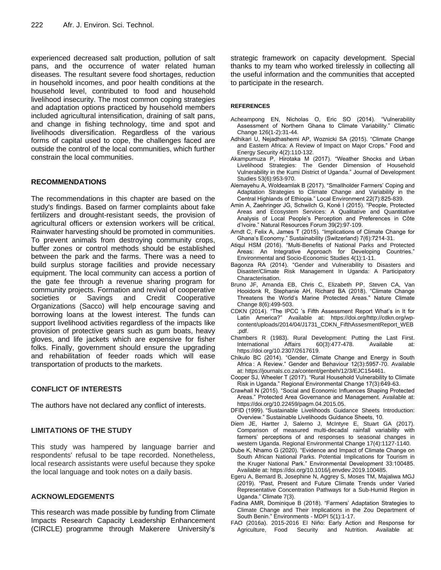experienced decreased salt production, pollution of salt pans, and the occurrence of water related human diseases. The resultant severe food shortages, reduction in household incomes, and poor health conditions at the household level, contributed to food and household livelihood insecurity. The most common coping strategies and adaptation options practiced by household members included agricultural intensification, draining of salt pans, and change in fishing technology, time and spot and livelihoods diversification. Regardless of the various forms of capital used to cope, the challenges faced are outside the control of the local communities, which further constrain the local communities.

# **RECOMMENDATIONS**

The recommendations in this chapter are based on the study's findings. Based on farmer complaints about fake fertilizers and drought-resistant seeds, the provision of agricultural officers or extension workers will be critical. Rainwater harvesting should be promoted in communities. To prevent animals from destroying community crops, buffer zones or control methods should be established between the park and the farms. There was a need to build surplus storage facilities and provide necessary equipment. The local community can access a portion of the gate fee through a revenue sharing program for community projects. Formation and revival of cooperative societies or Savings and Credit Cooperative Organizations (Sacco) will help encourage saving and borrowing loans at the lowest interest. The funds can support livelihood activities regardless of the impacts like provision of protective gears such as gum boats, heavy gloves, and life jackets which are expensive for fisher folks. Finally, government should ensure the upgrading and rehabilitation of feeder roads which will ease transportation of products to the markets.

# **CONFLICT OF INTERESTS**

The authors have not declared any conflict of interests.

# **LIMITATIONS OF THE STUDY**

This study was hampered by language barrier and respondents' refusal to be tape recorded. Nonetheless, local research assistants were useful because they spoke the local language and took notes on a daily basis.

## **ACKNOWLEDGEMENTS**

This research was made possible by funding from Climate Impacts Research Capacity Leadership Enhancement (CIRCLE) programme through Makerere University"s strategic framework on capacity development. Special thanks to my team who worked tirelessly in collecting all the useful information and the communities that accepted to participate in the research.

#### **REFERENCES**

- Acheampong EN, Nicholas O, Eric SO (2014). "Vulnerability Assessment of Northern Ghana to Climate Variability." Climatic Change 126(1-2):31-44.
- Adhikari U, Nejadhashemi AP, Woznicki SA (2015). "Climate Change and Eastern Africa: A Review of Impact on Major Crops." Food and Energy Security 4(2):110-132.
- Akampumuza P, Hirotaka M (2017). "Weather Shocks and Urban Livelihood Strategies: The Gender Dimension of Household Vulnerability in the Kumi District of Uganda." Journal of Development Studies 53(6):953-970.
- Alemayehu A, Woldeamlak B (2017). "Smallholder Farmers' Coping and Adaptation Strategies to Climate Change and Variability in the Central Highlands of Ethiopia." Local Environment 22(7):825-839.
- Amin A, Zaehringer JG, Schwilch G, Koné I (2015). "People, Protected Areas and Ecosystem Services: A Qualitative and Quantitative Analysis of Local People"s Perception and Preferences in Côte d"Ivoire." Natural Resources Forum 39(2):97-109.
- Arndt C, Felix A, James T (2015). "Implications of Climate Change for Ghana"s Economy." Sustainability (Switzerland) 7(6):7214-31.
- Atiqul HSM (2016). "Multi-Benefits of National Parks and Protected Areas: An Integrative Approach for Developing Countries." Environmental and Socio-Economic Studies 4(1):1-11.
- Bagonza RA (2014). "Gender and Vulnerability to Disasters and Disaster/Climate Risk Management In Uganda: A Participatory Characterisation.
- Bruno JF, Amanda EB, Chris C, Elizabeth PP, Steven CA, Van Hooidonk R, Stephanie AH, Richard BA (2018). "Climate Change Threatens the World"s Marine Protected Areas." Nature Climate Change 8(6):499-503.
- CDKN (2014). "The IPCC "s Fifth Assessment Report What"s in It for Latin America?" Available at: https://doi.org/http://cdkn.org/wpcontent/uploads/2014/04/J1731\_CDKN\_FifthAssesmentReport\_WEB .pdf.
- Chambers R (1983). Rural Development: Putting the Last First. International Affairs 60(3):477-478. Available at: https://doi.org/10.2307/2617619.
- Chikulo BC (2014). "Gender, Climate Change and Energy in South Africa : A Review." Gender and Behaviour 12(3):5957-70. Available at: https://journals.co.za/content/genbeh/12/3/EJC154461.
- Cooper SJ, Wheeler T (2017). "Rural Household Vulnerability to Climate Risk in Uganda." Regional Environmental Change 17(3):649-63.
- Crawhall N (2015). "Social and Economic Influences Shaping Protected Areas." Protected Area Governance and Management. Available at: https://doi.org/10.22459/pagm.04.2015.05.
- DFID (1999). "Sustainable Livelihoods Guidance Sheets Introduction: Overview." Sustainable Livelihoods Guidance Sheets, 10.
- Diem JE, Hartter J, Salerno J, McIntyre E, Stuart GA (2017). Comparison of measured multi-decadal rainfall variability with farmers" perceptions of and responses to seasonal changes in western Uganda. Regional Environmental Change 17(4):1127-1140.
- Dube K, Nhamo G (2020). "Evidence and Impact of Climate Change on South African National Parks. Potential Implications for Tourism in the Kruger National Park." Environmental Development 33:100485. Available at: https://doi.org/10.1016/j.envdev.2019.100485.
- Egeru A, Bernard B, Josephine N, Aggrey S, Moses TM, Majaliwa MGJ (2019). "Past, Present and Future Climate Trends under Varied Representative Concentration Pathways for a Sub-Humid Region in Uganda." Climate 7(3).
- Fadina AMR, Dominique B (2018). "Farmers" Adaptation Strategies to Climate Change and Their Implications in the Zou Department of South Benin." Environments *-* MDPI 5(1):1-17.
- FAO (2016a). 2015-2016 El Niño: Early Action and Response for Agriculture, Food Security and Nutrition. Available at: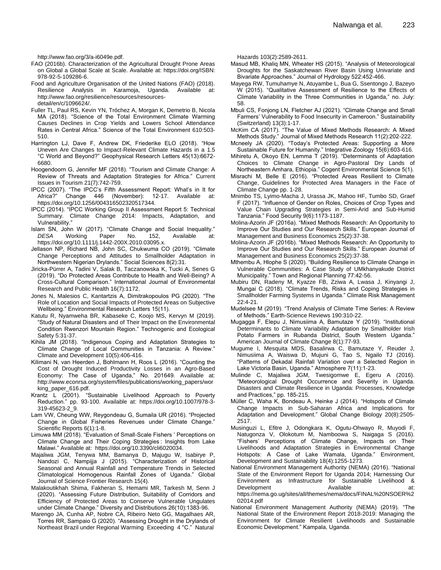http://www.fao.org/3/a-i6049e.pdf.

- FAO (2016b). Characterization of the Agricultural Drought Prone Areas on Global a Global Scale at Scale. Available at: https://doi.org/ISBN: 978-92-5-109286-6.
- Food and Agriculture Organisation of the United Nations (FAO) (2018). Resilience Analysis in Karamoja, Uganda. Available at: http://www.fao.org/resilience/resources/resourcesdetail/en/c/1096624/.
- Fuller TL, Paul RS, Kevin YN, Tróchez A, Morgan K, Demetrio B, Nicola MA (2018). "Science of the Total Environment Climate Warming Causes Declines in Crop Yields and Lowers School Attendance Rates in Central Africa." Science of the Total Environment 610:503- 510.
- Harrington LJ, Dave F, Andrew DK, Friederike ELO (2018). "How Uneven Are Changes to Impact-Relevant Climate Hazards in a 1.5 °C World and Beyond?" Geophysical Research Letters 45(13):6672- 6680.
- Hoogendoorn G, Jennifer MF (2018). "Tourism and Climate Change: A Review of Threats and Adaptation Strategies for Africa." Current Issues in Tourism 21(7):742-759.
- IPCC (2007). "The IPCC's Fifth Assessment Report: What's in It for<br>Africa?" Change 446 (November): 12-17. Available at: Change 446 (November): 12-17. Available at: https://doi.org/10.1256/004316502320517344.
- IPCC (2014). "IPCC Working Group II Assessment Report 5: Technical Summary. Climate Change 2014: Impacts, Adaptation, and Vulnerability."
- Islam SN, John W (2017). "Climate Change and Social Inequality." *DESA* Working Paper No. 152, Available at: https://doi.org/10.1111/j.1442-200X.2010.03095.x.
- Jellason NP, Richard NB, John SC, Chukwuma CO (2019). "Climate Change Perceptions and Attitudes to Smallholder Adaptation in Northwestern Nigerian Drylands." Social Sciences 8(2):31.
- Jiricka-Pürrer A, Tadini V, Salak B, Taczanowska K, Tucki A, Senes G (2019). "Do Protected Areas Contribute to Health and Well-Being? A Cross-Cultural Comparison." International Journal of Environmental Research and Public Health 16(7):1172.
- Jones N, Malesios C, Kantartzis A, Dimitrakopoulos PG (2020). "The Role of Location and Social Impacts of Protected Areas on Subjective Wellbeing." Environmental Research Letters 15(11).
- Katutu R, Nyamweha BR, Kabaseke C, Koojo MS, Kervyn M (2019). "Study of Natural Disasters and of Their Impact on the Environmental Condition Rwenzori Mountain Region." Technogenic and Ecological Safety 5:31-37.
- Kihila JM (2018). "Indigenous Coping and Adaptation Strategies to Climate Change of Local Communities in Tanzania: A Review." Climate and Development 10(5):406-416.
- Kilimani N, van Heerden J, Bohlmann H, Roos L (2016). "Counting the Cost of Drought Induced Productivity Losses in an Agro-Based Economy: The Case of Uganda," No. 201649. Available at: http://www.econrsa.org/system/files/publications/working\_papers/wor king\_paper\_616.pdf.
- Krantz L (2001). "Sustainable Livelihood Approach to Poverty Reduction." pp. 93-100. Available at: https://doi.org/10.1007/978-3-319-45623-2\_9.
- Lam VW, Cheung WW, Reygondeau G, Sumaila UR (2016). "Projected Change in Global Fisheries Revenues under Climate Change." Scientific Reports 6(1):1-8.
- Limuwa MM (2018). "Evaluation of Small-Scale Fishers " Perceptions on Climate Change and Their Coping Strategies : Insights from Lake Malawi." Available at: https://doi.org/10.3390/cli6020034.
- Majaliwa JGM, Tenywa MM, Bamanya D, Majugu W, Isabirye P, Nandozi C, Nampijja J (2015). "Characterization of Historical Seasonal and Annual Rainfall and Temperature Trends in Selected Climatological Homogenous Rainfall Zones of Uganda." Global Journal of Science Frontier Research 15(4).
- Malakoutikhah Shima, Fakheran S, Hemami MR, Tarkesh M, Senn J (2020). "Assessing Future Distribution, Suitability of Corridors and Efficiency of Protected Areas to Conserve Vulnerable Ungulates under Climate Change." Diversity and Distributions 26(10):1383-96.
- Marengo JA, Cunha AP, Nobre CA, Ribeiro Neto GG, Magalhaes AR, Torres RR, Sampaio G (2020). "Assessing Drought in the Drylands of Northeast Brazil under Regional Warming Exceeding 4 °C." Natural

Hazards 103(2):2589-2611.

- Masud MB, Khaliq MN, Wheater HS (2015). "Analysis of Meteorological Droughts for the Saskatchewan River Basin Using Univariate and Bivariate Approaches." Journal of Hydrology 522:452-466.
- Mayega RW, Tumuhamye N, Atuyambe L, Bua G, Ssentongo J, Bazeyo W (2015). "Qualitative Assessment of Resilience to the Effects of Climate Variability in the Three Communities in Uganda," no. July: 58.
- Mbuli CS, Fonjong LN, Fletcher AJ (2021). "Climate Change and Small Farmers" Vulnerability to Food Insecurity in Cameroon." Sustainability (Switzerland) 13(3):1-17.
- McKim CA (2017). "The Value of Mixed Methods Research: A Mixed Methods Study." Journal of Mixed Methods Research 11(2):202-222.
- Mcneely JA (2020). "Today"s Protected Areas: Supporting a More Sustainable Future for Humanity." Integrative Zoology 15(6):603-616.
- Mihiretu A, Okoyo EN, Lemma T (2019). "Determinants of Adaptation Choices to Climate Change in Agro-Pastoral Dry Lands of Northeastern Amhara, Ethiopia." Cogent Environmental Science 5(1).
- Misrachi M, Belle E (2016). "Protected Areas Resilient to Climate Change, Guidelines for Protected Area Managers in the Face of Climate Change pp. 1-28.
- Mnimbo TS, Lyimo-Macha J, Urassa JK, Mahoo HF, Tumbo SD, Graef F (2017). "Influence of Gender on Roles, Choices of Crop Types and Value Chain Upgrading Strategies in Semi-Arid and Sub-Humid Tanzania." Food Security 9(6):1173-1187.
- Molina-Azorin JF (2016a). "Mixed Methods Research: An Opportunity to Improve Our Studies and Our Research Skills." European Journal of Management and Business Economics 25(2):37-38.
- Molina-Azorin JF (2016b). "Mixed Methods Research: An Opportunity to Improve Our Studies and Our Research Skills." European Journal of Management and Business Economics 25(2):37-38.
- Mthembu A, Hlophe S (2020). "Building Resilience to Climate Change in Vulnerable Communities: A Case Study of UMkhanyakude District Municipality." Town and Regional Planning 77:42-56.
- Mubiru DN, Radeny M, Kyazze FB, Zziwa A, Lwasa J, Kinyangi J, Mungai C (2018). "Climate Trends, Risks and Coping Strategies in Smallholder Farming Systems in Uganda." Climate Risk Management 22:4-21.
- Mudelsee M (2019). "Trend Analysis of Climate Time Series: A Review of Methods." Earth-Science Reviews 190:310-22.
- Mugagga F, Elepu J, Nimusiima A, Bamutaze Y (2019). "Institutional Determinants to Climate Variability Adaptation by Smallholder Irish Potato Farmers in Rubanda District, South Western Uganda." American Journal of Climate Change 8(1):77-93.
- Mugume I, Mesquita MDS, Basalirwa C, Bamutaze Y, Reuder J, Nimusiima A, Waiswa D, Mujuni G, Tao S, Ngailo TJ (2016). "Patterns of Dekadal Rainfall Variation over a Selected Region in Lake Victoria Basin, Uganda." Atmosphere 7(11):1-23.
- Mulinde C, Majaliwa JGM, Twesigomwe E, Egeru A (2016). "Meteorological Drought Occurrence and Severity in Uganda. Disasters and Climate Resilience in Uganda: Processes, Knowledge and Practices," pp. 185-215.
- Müller C, Waha K, Bondeau A, Heinke J (2014). "Hotspots of Climate Change Impacts in Sub-Saharan Africa and Implications for Adaptation and Development." Global Change Biology 20(8):2505- 2517.
- Musinguzi L, Efitre J, Odongkara K, Ogutu-Ohwayo R, Muyodi F, Natugonza V, Olokotum M, Namboowa S, Naigaga S (2016). "Fishers" Perceptions of Climate Change, Impacts on Their Livelihoods and Adaptation Strategies in Environmental Change Hotspots: A Case of Lake Wamala, Uganda." Environment, Development and Sustainability 18(4):1255-1273.
- National Environment Management Authority (NEMA) (2016). "National State of the Environment Report for Uganda 2014; Harnessing Our Environment as Infrastructure for Sustainable Livelihood & Development Available at: https://nema.go.ug/sites/all/themes/nema/docs/FINAL%20NSOER%2 02014.pdf
- National Environment Management Authority (NEMA) (2019). "The National State of the Environment Report 2018-2019: Managing the Environment for Climate Resilient Livelihoods and Sustainable Economic Development." Kampala, Uganda.